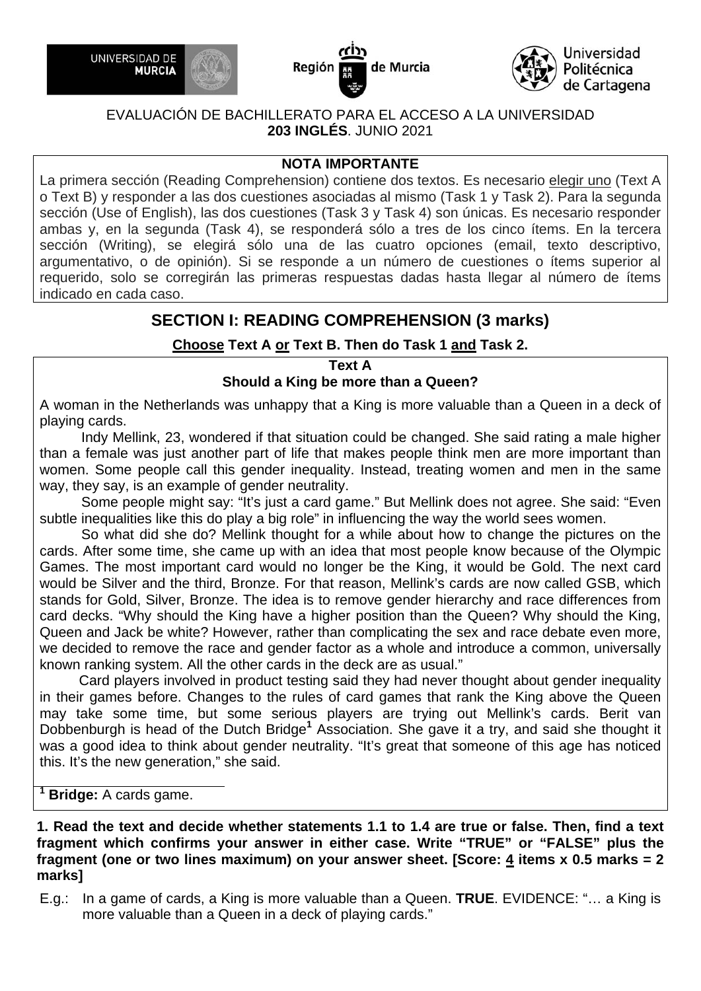





#### EVALUACIÓN DE BACHILLERATO PARA EL ACCESO A LA UNIVERSIDAD **203 INGLÉS**. JUNIO 2021

#### **NOTA IMPORTANTE**

La primera sección (Reading Comprehension) contiene dos textos. Es necesario elegir uno (Text A o Text B) y responder a las dos cuestiones asociadas al mismo (Task 1 y Task 2). Para la segunda sección (Use of English), las dos cuestiones (Task 3 y Task 4) son únicas. Es necesario responder ambas y, en la segunda (Task 4), se responderá sólo a tres de los cinco ítems. En la tercera sección (Writing), se elegirá sólo una de las cuatro opciones (email, texto descriptivo, argumentativo, o de opinión). Si se responde a un número de cuestiones o ítems superior al requerido, solo se corregirán las primeras respuestas dadas hasta llegar al número de ítems indicado en cada caso.

## **SECTION I: READING COMPREHENSION (3 marks)**

#### **Choose Text A or Text B. Then do Task 1 and Task 2.**

**Text A** 

#### **Should a King be more than a Queen?**

A woman in the Netherlands was unhappy that a King is more valuable than a Queen in a deck of playing cards.

Indy Mellink, 23, wondered if that situation could be changed. She said rating a male higher than a female was just another part of life that makes people think men are more important than women. Some people call this gender inequality. Instead, treating women and men in the same way, they say, is an example of gender neutrality.

Some people might say: "It's just a card game." But Mellink does not agree. She said: "Even subtle inequalities like this do play a big role" in influencing the way the world sees women.

So what did she do? Mellink thought for a while about how to change the pictures on the cards. After some time, she came up with an idea that most people know because of the Olympic Games. The most important card would no longer be the King, it would be Gold. The next card would be Silver and the third, Bronze. For that reason, Mellink's cards are now called GSB, which stands for Gold, Silver, Bronze. The idea is to remove gender hierarchy and race differences from card decks. "Why should the King have a higher position than the Queen? Why should the King, Queen and Jack be white? However, rather than complicating the sex and race debate even more, we decided to remove the race and gender factor as a whole and introduce a common, universally known ranking system. All the other cards in the deck are as usual."

 Card players involved in product testing said they had never thought about gender inequality in their games before. Changes to the rules of card games that rank the King above the Queen may take some time, but some serious players are trying out Mellink's cards. Berit van Dobbenburgh is head of the Dutch Bridge<sup>1</sup> Association. She gave it a try, and said she thought it was a good idea to think about gender neutrality. "It's great that someone of this age has noticed this. It's the new generation," she said.

 **Bridge:** A cards game.

**1**

**1. Read the text and decide whether statements 1.1 to 1.4 are true or false. Then, find a text fragment which confirms your answer in either case. Write "TRUE" or "FALSE" plus the fragment (one or two lines maximum) on your answer sheet. [Score: 4 items x 0.5 marks = 2 marks]** 

E.g.: In a game of cards, a King is more valuable than a Queen. **TRUE**. EVIDENCE: "… a King is more valuable than a Queen in a deck of playing cards."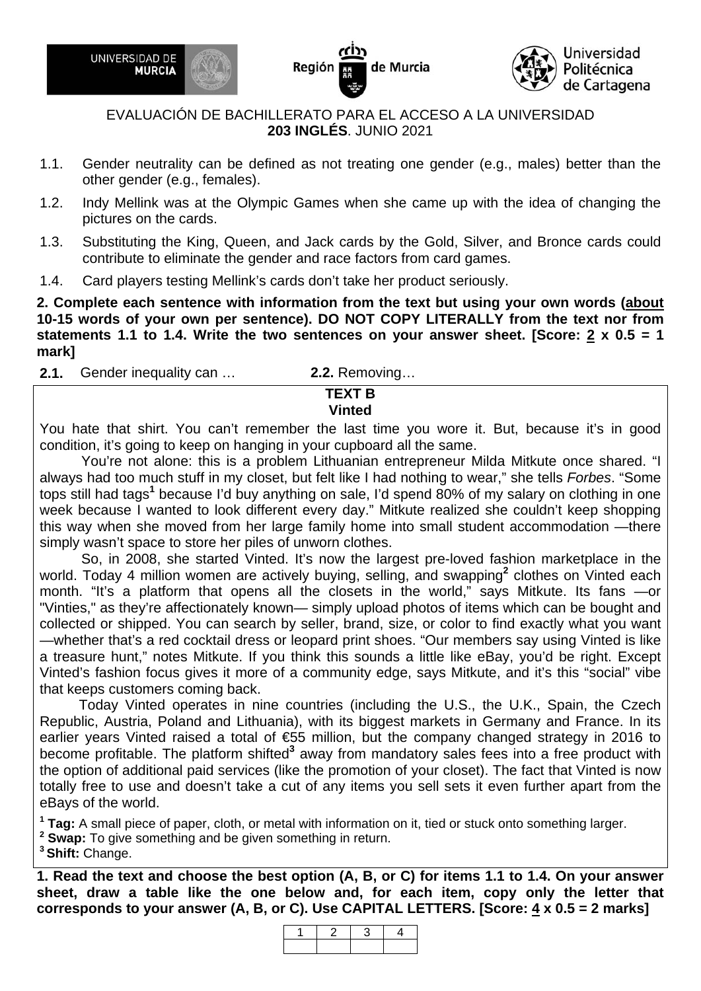

Región de Murcia



#### EVALUACIÓN DE BACHILLERATO PARA EL ACCESO A LA UNIVERSIDAD **203 INGLÉS**. JUNIO 2021

- 1.1. Gender neutrality can be defined as not treating one gender (e.g., males) better than the other gender (e.g., females).
- 1.2. Indy Mellink was at the Olympic Games when she came up with the idea of changing the pictures on the cards.
- 1.3. Substituting the King, Queen, and Jack cards by the Gold, Silver, and Bronce cards could contribute to eliminate the gender and race factors from card games.
- 1.4. Card players testing Mellink's cards don't take her product seriously.

**2. Complete each sentence with information from the text but using your own words (about 10-15 words of your own per sentence). DO NOT COPY LITERALLY from the text nor from statements 1.1 to 1.4. Write the two sentences on your answer sheet. [Score: 2 x 0.5 = 1 mark]** 

**2.1.** Gender inequality can … **2.2.** Removing… **TEXT B** 

**Vinted** 

You hate that shirt. You can't remember the last time you wore it. But, because it's in good condition, it's going to keep on hanging in your cupboard all the same.

You're not alone: this is a problem Lithuanian entrepreneur Milda Mitkute once shared. "I always had too much stuff in my closet, but felt like I had nothing to wear," she tells *Forbes*. "Some tops still had tags<sup>1</sup> because I'd buy anything on sale, I'd spend 80% of my salary on clothing in one week because I wanted to look different every day." Mitkute realized she couldn't keep shopping this way when she moved from her large family home into small student accommodation —there simply wasn't space to store her piles of unworn clothes.

So, in 2008, she started Vinted. It's now the largest pre-loved fashion marketplace in the world. Today 4 million women are actively buying, selling, and swapping<sup>2</sup> clothes on Vinted each month. "It's a platform that opens all the closets in the world," says Mitkute. Its fans *—*or "Vinties," as they're affectionately known*—* simply upload photos of items which can be bought and collected or shipped. You can search by seller, brand, size, or color to find exactly what you want *—*whether that's a red cocktail dress or leopard print shoes. "Our members say using Vinted is like a treasure hunt," notes Mitkute. If you think this sounds a little like eBay, you'd be right. Except Vinted's fashion focus gives it more of a community edge, says Mitkute, and it's this "social" vibe that keeps customers coming back.

 Today Vinted operates in nine countries (including the U.S., the U.K., Spain, the Czech Republic, Austria, Poland and Lithuania), with its biggest markets in Germany and France. In its earlier years Vinted raised a total of €55 million, but the company changed strategy in 2016 to become profitable. The platform shifted<sup>3</sup> away from mandatory sales fees into a free product with the option of additional paid services (like the promotion of your closet). The fact that Vinted is now totally free to use and doesn't take a cut of any items you sell sets it even further apart from the eBays of the world.

**1 Tag:** A small piece of paper, cloth, or metal with information on it, tied or stuck onto something larger.

**2 Swap:** To give something and be given something in return.

**3 Shift:** Change.

**1. Read the text and choose the best option (A, B, or C) for items 1.1 to 1.4. On your answer sheet, draw a table like the one below and, for each item, copy only the letter that corresponds to your answer (A, B, or C). Use CAPITAL LETTERS. [Score: 4 x 0.5 = 2 marks]** 

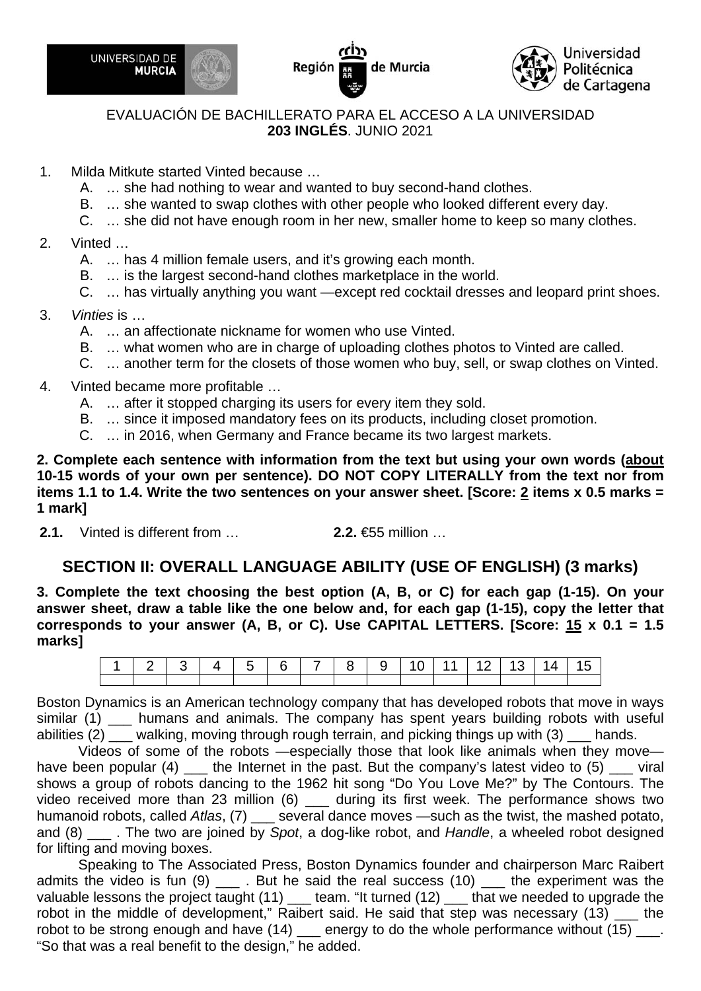





#### EVALUACIÓN DE BACHILLERATO PARA EL ACCESO A LA UNIVERSIDAD **203 INGLÉS**. JUNIO 2021

- 1. Milda Mitkute started Vinted because …
	- A. … she had nothing to wear and wanted to buy second-hand clothes.
	- B. … she wanted to swap clothes with other people who looked different every day.
	- C. … she did not have enough room in her new, smaller home to keep so many clothes.
- 2. Vinted …
	- A. … has 4 million female users, and it's growing each month.
	- B. … is the largest second-hand clothes marketplace in the world.
	- C. … has virtually anything you want —except red cocktail dresses and leopard print shoes.
- 3. *Vinties* is …
	- A. … an affectionate nickname for women who use Vinted.
	- B. … what women who are in charge of uploading clothes photos to Vinted are called.
	- C. … another term for the closets of those women who buy, sell, or swap clothes on Vinted.
- 4. Vinted became more profitable …
	- A. … after it stopped charging its users for every item they sold.
	- B. … since it imposed mandatory fees on its products, including closet promotion.
	- C. … in 2016, when Germany and France became its two largest markets.

**2. Complete each sentence with information from the text but using your own words (about 10-15 words of your own per sentence). DO NOT COPY LITERALLY from the text nor from items 1.1 to 1.4. Write the two sentences on your answer sheet. [Score: 2 items x 0.5 marks = 1 mark]** 

**2.1.** Vinted is different from … **2.2.** €55 million …

## **SECTION II: OVERALL LANGUAGE ABILITY (USE OF ENGLISH) (3 marks)**

**3. Complete the text choosing the best option (A, B, or C) for each gap (1-15). On your answer sheet, draw a table like the one below and, for each gap (1-15), copy the letter that corresponds to your answer (A, B, or C). Use CAPITAL LETTERS. [Score: 15 x 0.1 = 1.5 marks]** 

|  |  |  |  |  |  | 2   3   4   5   6   7   8   9   10   11   12   13   14   15 |  |
|--|--|--|--|--|--|-------------------------------------------------------------|--|
|  |  |  |  |  |  |                                                             |  |

Boston Dynamics is an American technology company that has developed robots that move in ways similar (1) location humans and animals. The company has spent years building robots with useful abilities (2) \_\_\_ walking, moving through rough terrain, and picking things up with (3) \_\_\_ hands.

Videos of some of the robots —especially those that look like animals when they move have been popular (4)  $\quad$  the Internet in the past. But the company's latest video to (5)  $\quad$  viral shows a group of robots dancing to the 1962 hit song "Do You Love Me?" by The Contours. The video received more than 23 million (6) \_\_\_ during its first week. The performance shows two humanoid robots, called *Atlas*, (7) \_\_\_ several dance moves —such as the twist, the mashed potato, and (8) \_\_\_ . The two are joined by *Spot*, a dog-like robot, and *Handle*, a wheeled robot designed for lifting and moving boxes.

Speaking to The Associated Press, Boston Dynamics founder and chairperson Marc Raibert admits the video is fun (9) \_\_\_\_\_. But he said the real success (10) \_\_\_\_\_ the experiment was the valuable lessons the project taught  $(11)$  team. "It turned  $(12)$  that we needed to upgrade the robot in the middle of development," Raibert said. He said that step was necessary (13) the robot to be strong enough and have  $(14)$  \_\_\_ energy to do the whole performance without  $(15)$  \_\_\_. "So that was a real benefit to the design," he added.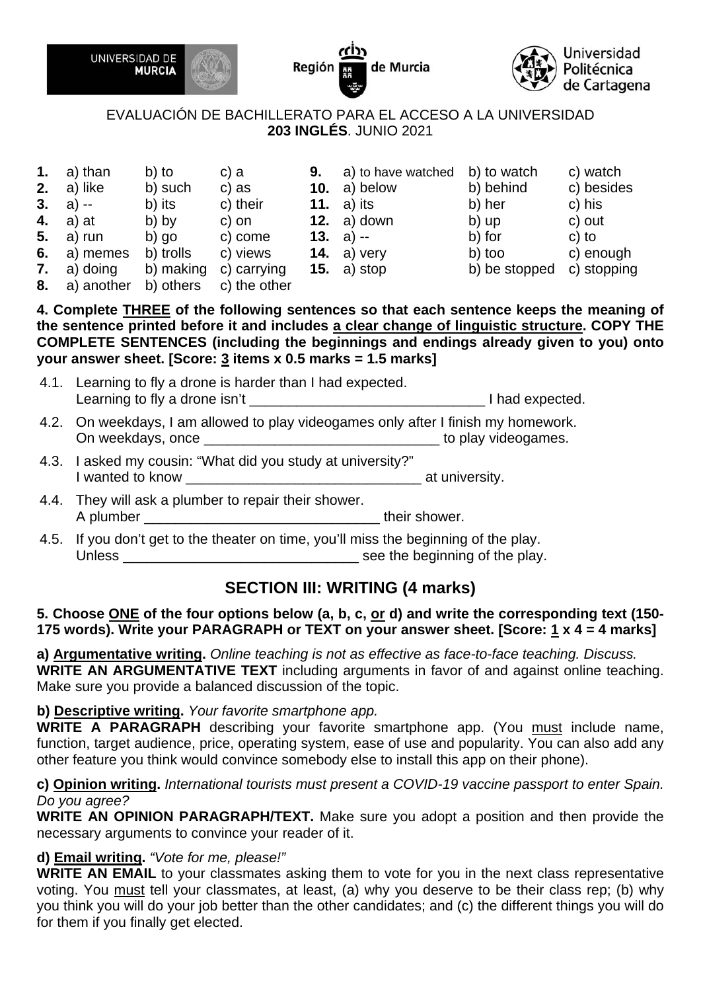





#### EVALUACIÓN DE BACHILLERATO PARA EL ACCESO A LA UNIVERSIDAD **203 INGLÉS**. JUNIO 2021

| 1. | a) than       | b) to     | c) a                                     | 9. | a) to have watched  | b) to watch   | c) watch    |
|----|---------------|-----------|------------------------------------------|----|---------------------|---------------|-------------|
| 2. | a) like       | b) such   | c) as                                    |    | <b>10.</b> a) below | b) behind     | c) besides  |
|    | 3. a) $-$     | b) its    | c) their                                 |    | 11. $a)$ its        | b) her        | c) his      |
|    | 4. $a)$ at    | b) by     | c) on                                    |    | 12. $a)$ down       | b) up         | c) out      |
|    | 5. a) run     | b) go     | c) come                                  |    | <b>13.</b> a) $-$   | b) for        | $c)$ to     |
|    | 6. a) memes   | b) trolls | c) views                                 |    | 14. a) very         | b) too        | c) enough   |
|    | 7. $a)$ doing | b) making | c) carrying                              |    | 15. $a)$ stop       | b) be stopped | c) stopping |
|    |               |           | 0 a) a saturna da la sua da la la subana |    |                     |               |             |

**8.** a) another b) others c) the other

**4. Complete THREE of the following sentences so that each sentence keeps the meaning of the sentence printed before it and includes a clear change of linguistic structure. COPY THE COMPLETE SENTENCES (including the beginnings and endings already given to you) onto your answer sheet. [Score: 3 items x 0.5 marks = 1.5 marks]** 

- 4.1. Learning to fly a drone is harder than I had expected. Learning to fly a drone isn't \_\_\_\_\_\_\_\_\_\_\_\_\_\_\_\_\_\_\_\_\_\_\_\_\_\_\_\_\_\_ I had expected.
- 4.2. On weekdays, I am allowed to play videogames only after I finish my homework. On weekdays, once example and the state of the play videogames.
- 4.3. I asked my cousin: "What did you study at university?" I wanted to know example at university.
- 4.4. They will ask a plumber to repair their shower. A plumber **and their shower**.
- 4.5. If you don't get to the theater on time, you'll miss the beginning of the play. Unless \_\_\_\_\_\_\_\_\_\_\_\_\_\_\_\_\_\_\_\_\_\_\_\_\_\_\_\_\_\_ see the beginning of the play.

# **SECTION III: WRITING (4 marks)**

#### **5. Choose ONE of the four options below (a, b, c, or d) and write the corresponding text (150- 175 words). Write your PARAGRAPH or TEXT on your answer sheet. [Score: 1 x 4 = 4 marks]**

**a) Argumentative writing.** *Online teaching is not as effective as face-to-face teaching. Discuss.* **WRITE AN ARGUMENTATIVE TEXT** including arguments in favor of and against online teaching. Make sure you provide a balanced discussion of the topic.

#### **b) Descriptive writing.** *Your favorite smartphone app.*

**WRITE A PARAGRAPH** describing your favorite smartphone app. (You must include name, function, target audience, price, operating system, ease of use and popularity. You can also add any other feature you think would convince somebody else to install this app on their phone).

#### **c) Opinion writing.** *International tourists must present a COVID-19 vaccine passport to enter Spain. Do you agree?*

**WRITE AN OPINION PARAGRAPH/TEXT.** Make sure you adopt a position and then provide the necessary arguments to convince your reader of it.

#### **d) Email writing.** *"Vote for me, please!"*

**WRITE AN EMAIL** to your classmates asking them to vote for you in the next class representative voting. You must tell your classmates, at least, (a) why you deserve to be their class rep; (b) why you think you will do your job better than the other candidates; and (c) the different things you will do for them if you finally get elected.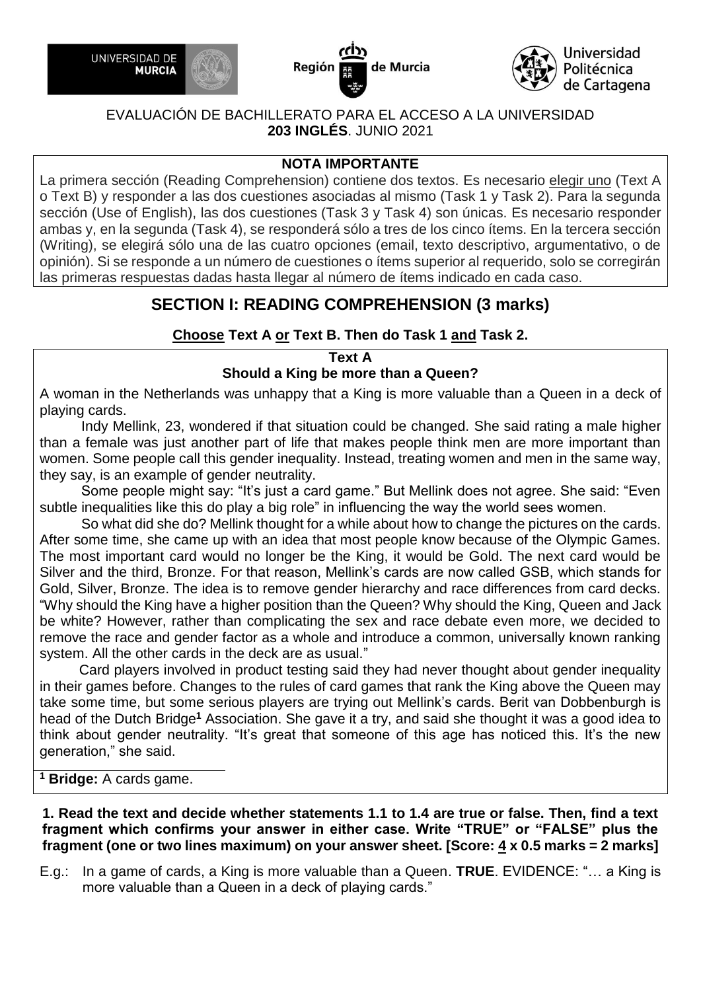





#### EVALUACIÓN DE BACHILLERATO PARA EL ACCESO A LA UNIVERSIDAD **203 INGLÉS**. JUNIO 2021

### **NOTA IMPORTANTE**

La primera sección (Reading Comprehension) contiene dos textos. Es necesario elegir uno (Text A o Text B) y responder a las dos cuestiones asociadas al mismo (Task 1 y Task 2). Para la segunda sección (Use of English), las dos cuestiones (Task 3 y Task 4) son únicas. Es necesario responder ambas y, en la segunda (Task 4), se responderá sólo a tres de los cinco ítems. En la tercera sección (Writing), se elegirá sólo una de las cuatro opciones (email, texto descriptivo, argumentativo, o de opinión). Si se responde a un número de cuestiones o ítems superior al requerido, solo se corregirán las primeras respuestas dadas hasta llegar al número de ítems indicado en cada caso.

# **SECTION I: READING COMPREHENSION (3 marks)**

## **Choose Text A or Text B. Then do Task 1 and Task 2.**

#### **Text A**

### **Should a King be more than a Queen?**

A woman in the Netherlands was unhappy that a King is more valuable than a Queen in a deck of playing cards.

Indy Mellink, 23, wondered if that situation could be changed. She said rating a male higher than a female was just another part of life that makes people think men are more important than women. Some people call this gender inequality. Instead, treating women and men in the same way, they say, is an example of gender neutrality.

Some people might say: "It's just a card game." But Mellink does not agree. She said: "Even subtle inequalities like this do play a big role" in influencing the way the world sees women.

So what did she do? Mellink thought for a while about how to change the pictures on the cards. After some time, she came up with an idea that most people know because of the Olympic Games. The most important card would no longer be the King, it would be Gold. The next card would be Silver and the third, Bronze. For that reason, Mellink's cards are now called GSB, which stands for Gold, Silver, Bronze. The idea is to remove gender hierarchy and race differences from card decks. "Why should the King have a higher position than the Queen? Why should the King, Queen and Jack be white? However, rather than complicating the sex and race debate even more, we decided to remove the race and gender factor as a whole and introduce a common, universally known ranking system. All the other cards in the deck are as usual."

 Card players involved in product testing said they had never thought about gender inequality in their games before. Changes to the rules of card games that rank the King above the Queen may take some time, but some serious players are trying out Mellink's cards. Berit van Dobbenburgh is head of the Dutch Bridge**<sup>1</sup>** Association. She gave it a try, and said she thought it was a good idea to think about gender neutrality. "It's great that someone of this age has noticed this. It's the new generation," she said.

**<sup>1</sup> Bridge:** A cards game.

**1. Read the text and decide whether statements 1.1 to 1.4 are true or false. Then, find a text fragment which confirms your answer in either case. Write "TRUE" or "FALSE" plus the fragment (one or two lines maximum) on your answer sheet. [Score: 4 x 0.5 marks = 2 marks]**

E.g.: In a game of cards, a King is more valuable than a Queen. **TRUE**. EVIDENCE: "… a King is more valuable than a Queen in a deck of playing cards."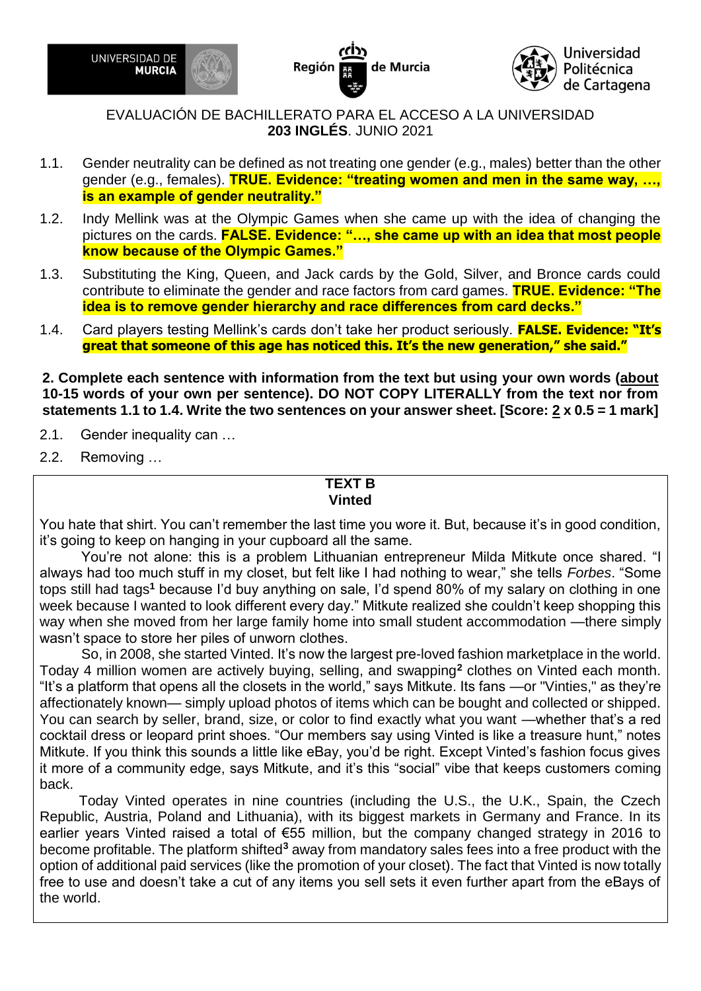

Región de Murcia



EVALUACIÓN DE BACHILLERATO PARA EL ACCESO A LA UNIVERSIDAD **203 INGLÉS**. JUNIO 2021

- 1.1. Gender neutrality can be defined as not treating one gender (e.g., males) better than the other gender (e.g., females). **TRUE. Evidence: "treating women and men in the same way, …, is an example of gender neutrality."**
- 1.2. Indy Mellink was at the Olympic Games when she came up with the idea of changing the pictures on the cards. **FALSE. Evidence: "…, she came up with an idea that most people know because of the Olympic Games."**
- 1.3. Substituting the King, Queen, and Jack cards by the Gold, Silver, and Bronce cards could contribute to eliminate the gender and race factors from card games. **TRUE. Evidence: "The idea is to remove gender hierarchy and race differences from card decks."**
- 1.4. Card players testing Mellink's cards don't take her product seriously. **FALSE. Evidence: "It's great that someone of this age has noticed this. It's the new generation," she said."**

**2. Complete each sentence with information from the text but using your own words (about 10-15 words of your own per sentence). DO NOT COPY LITERALLY from the text nor from statements 1.1 to 1.4. Write the two sentences on your answer sheet. [Score: 2 x 0.5 = 1 mark]**

- 2.1. Gender inequality can …
- 2.2. Removing …

#### **TEXT B Vinted**

You hate that shirt. You can't remember the last time you wore it. But, because it's in good condition, it's going to keep on hanging in your cupboard all the same.

You're not alone: this is a problem Lithuanian entrepreneur Milda Mitkute once shared. "I always had too much stuff in my closet, but felt like I had nothing to wear," she tells *Forbes*. "Some tops still had tags**<sup>1</sup>** because I'd buy anything on sale, I'd spend 80% of my salary on clothing in one week because I wanted to look different every day." Mitkute realized she couldn't keep shopping this way when she moved from her large family home into small student accommodation —there simply wasn't space to store her piles of unworn clothes.

So, in 2008, she started Vinted. It's now the largest pre-loved fashion marketplace in the world. Today 4 million women are actively buying, selling, and swapping**<sup>2</sup>** clothes on Vinted each month. "It's a platform that opens all the closets in the world," says Mitkute. Its fans *—*or "Vinties," as they're affectionately known*—* simply upload photos of items which can be bought and collected or shipped. You can search by seller, brand, size, or color to find exactly what you want *—*whether that's a red cocktail dress or leopard print shoes. "Our members say using Vinted is like a treasure hunt," notes Mitkute. If you think this sounds a little like eBay, you'd be right. Except Vinted's fashion focus gives it more of a community edge, says Mitkute, and it's this "social" vibe that keeps customers coming back.

 Today Vinted operates in nine countries (including the U.S., the U.K., Spain, the Czech Republic, Austria, Poland and Lithuania), with its biggest markets in Germany and France. In its earlier years Vinted raised a total of €55 million, but the company changed strategy in 2016 to become profitable. The platform shifted**<sup>3</sup>** away from mandatory sales fees into a free product with the option of additional paid services (like the promotion of your closet). The fact that Vinted is now totally free to use and doesn't take a cut of any items you sell sets it even further apart from the eBays of the world.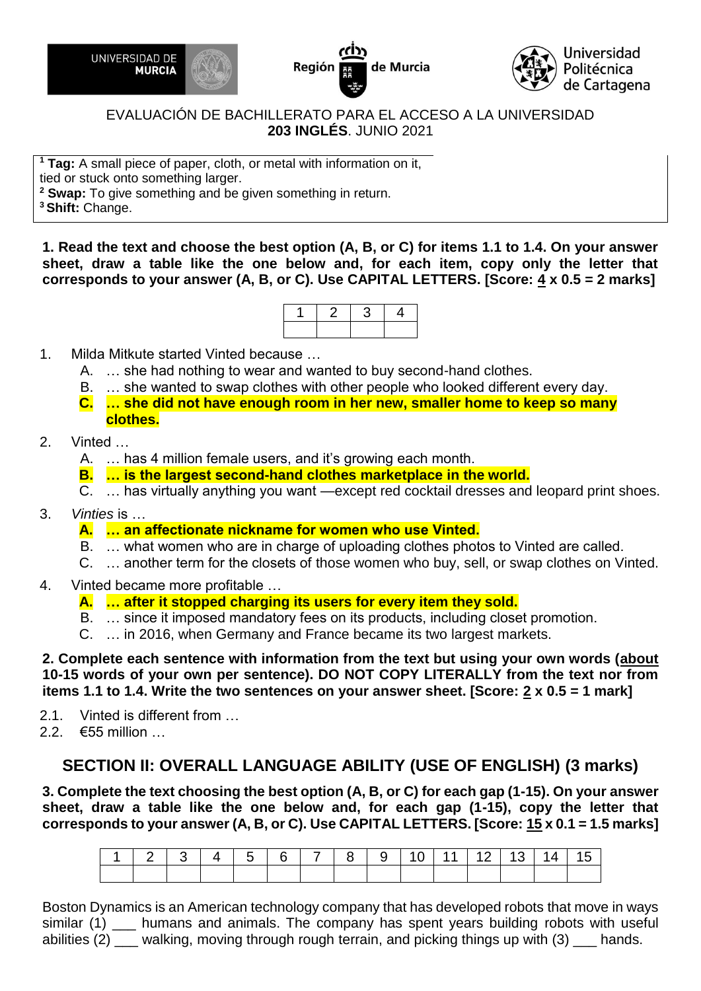





### EVALUACIÓN DE BACHILLERATO PARA EL ACCESO A LA UNIVERSIDAD **203 INGLÉS**. JUNIO 2021

**<sup>1</sup> Tag:** A [small](https://dictionary.cambridge.org/es/diccionario/ingles/small) [piece](https://dictionary.cambridge.org/es/diccionario/ingles/piece) of [paper,](https://dictionary.cambridge.org/es/diccionario/ingles/paper) [cloth,](https://dictionary.cambridge.org/es/diccionario/ingles/cloth) or metal with [information](https://dictionary.cambridge.org/es/diccionario/ingles/information) on it, [tied](https://dictionary.cambridge.org/es/diccionario/ingles/tie) or [stuck](https://dictionary.cambridge.org/es/diccionario/ingles/stuck) onto something [larger.](https://dictionary.cambridge.org/es/diccionario/ingles/large) **<sup>2</sup> Swap:** To give something and be given something in return.

**<sup>3</sup>Shift:** Change.

**1. Read the text and choose the best option (A, B, or C) for items 1.1 to 1.4. On your answer sheet, draw a table like the one below and, for each item, copy only the letter that corresponds to your answer (A, B, or C). Use CAPITAL LETTERS. [Score: 4 x 0.5 = 2 marks]**



- 1. Milda Mitkute started Vinted because …
	- A. … she had nothing to wear and wanted to buy second-hand clothes.
	- B. … she wanted to swap clothes with other people who looked different every day.
	- **C. … she did not have enough room in her new, smaller home to keep so many clothes.**
- 2. Vinted …
	- A. … has 4 million female users, and it's growing each month.
	- **B. … is the largest second-hand clothes marketplace in the world.**
	- C. … has virtually anything you want —except red cocktail dresses and leopard print shoes.
- 3. *Vinties* is …
	- **A. … an affectionate nickname for women who use Vinted.**
	- B. … what women who are in charge of uploading clothes photos to Vinted are called.
	- C. … another term for the closets of those women who buy, sell, or swap clothes on Vinted.
- 4. Vinted became more profitable …

### **A. … after it stopped charging its users for every item they sold.**

- B. … since it imposed mandatory fees on its products, including closet promotion.
- C. … in 2016, when Germany and France became its two largest markets.

**2. Complete each sentence with information from the text but using your own words (about 10-15 words of your own per sentence). DO NOT COPY LITERALLY from the text nor from items 1.1 to 1.4. Write the two sentences on your answer sheet. [Score: 2 x 0.5 = 1 mark]**

- 2.1. Vinted is different from …
- 2.2. €55 million …

# **SECTION II: OVERALL LANGUAGE ABILITY (USE OF ENGLISH) (3 marks)**

**3. Complete the text choosing the best option (A, B, or C) for each gap (1-15). On your answer sheet, draw a table like the one below and, for each gap (1-15), copy the letter that corresponds to your answer (A, B, or C). Use CAPITAL LETTERS. [Score: 15 x 0.1 = 1.5 marks]**

| 1 2 3 4 5 6 7 8 9 10 11 12 13 14 15 |  |  |  |  |  |  |  |
|-------------------------------------|--|--|--|--|--|--|--|
|                                     |  |  |  |  |  |  |  |

Boston Dynamics is an American technology company that has developed robots that move in ways similar (1) humans and animals. The company has spent years building robots with useful abilities (2) \_\_\_ walking, moving through rough terrain, and picking things up with (3) \_\_\_ hands.